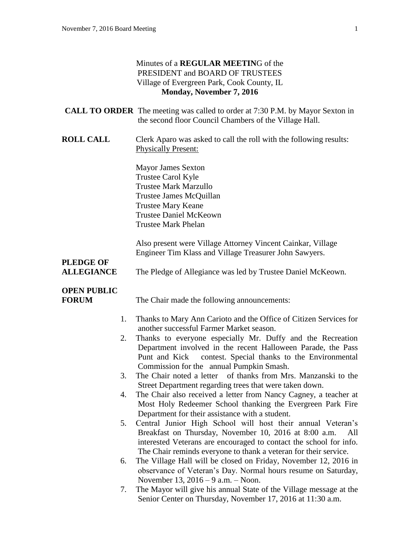#### Minutes of a **REGULAR MEETIN**G of the PRESIDENT and BOARD OF TRUSTEES Village of Evergreen Park, Cook County, IL **Monday, November 7, 2016**

|                                    | <b>CALL TO ORDER</b> The meeting was called to order at 7:30 P.M. by Mayor Sexton in<br>the second floor Council Chambers of the Village Hall.                                                                                                                                      |
|------------------------------------|-------------------------------------------------------------------------------------------------------------------------------------------------------------------------------------------------------------------------------------------------------------------------------------|
| <b>ROLL CALL</b>                   | Clerk Aparo was asked to call the roll with the following results:<br><b>Physically Present:</b>                                                                                                                                                                                    |
|                                    | <b>Mayor James Sexton</b><br>Trustee Carol Kyle<br><b>Trustee Mark Marzullo</b><br>Trustee James McQuillan<br><b>Trustee Mary Keane</b><br><b>Trustee Daniel McKeown</b><br><b>Trustee Mark Phelan</b>                                                                              |
| <b>PLEDGE OF</b>                   | Also present were Village Attorney Vincent Cainkar, Village<br>Engineer Tim Klass and Village Treasurer John Sawyers.                                                                                                                                                               |
| <b>ALLEGIANCE</b>                  | The Pledge of Allegiance was led by Trustee Daniel McKeown.                                                                                                                                                                                                                         |
| <b>OPEN PUBLIC</b><br><b>FORUM</b> | The Chair made the following announcements:                                                                                                                                                                                                                                         |
| 1.                                 | Thanks to Mary Ann Carioto and the Office of Citizen Services for                                                                                                                                                                                                                   |
| 2.                                 | another successful Farmer Market season.<br>Thanks to everyone especially Mr. Duffy and the Recreation<br>Department involved in the recent Halloween Parade, the Pass<br>contest. Special thanks to the Environmental<br>Punt and Kick<br>Commission for the annual Pumpkin Smash. |
| 3.                                 | The Chair noted a letter of thanks from Mrs. Manzanski to the<br>Street Department regarding trees that were taken down.                                                                                                                                                            |
| 4.                                 | The Chair also received a letter from Nancy Cagney, a teacher at<br>Most Holy Redeemer School thanking the Evergreen Park Fire<br>Department for their assistance with a student.                                                                                                   |
| 5.                                 | Central Junior High School will host their annual Veteran's<br>Breakfast on Thursday, November 10, 2016 at 8:00 a.m.<br>All<br>interested Veterans are encouraged to contact the school for info.<br>The Chair reminds everyone to thank a veteran for their service.               |
| 6.                                 | The Village Hall will be closed on Friday, November 12, 2016 in<br>observance of Veteran's Day. Normal hours resume on Saturday,<br>November 13, $2016 - 9$ a.m. $-$ Noon.                                                                                                          |
| 7.                                 | The Mayor will give his annual State of the Village message at the<br>Senior Center on Thursday, November 17, 2016 at 11:30 a.m.                                                                                                                                                    |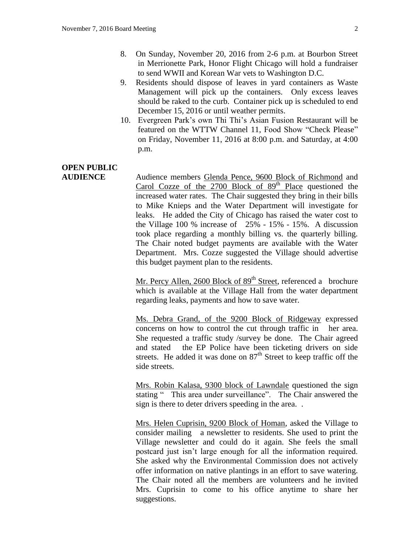- 8. On Sunday, November 20, 2016 from 2-6 p.m. at Bourbon Street in Merrionette Park, Honor Flight Chicago will hold a fundraiser to send WWII and Korean War vets to Washington D.C.
- 9. Residents should dispose of leaves in yard containers as Waste Management will pick up the containers. Only excess leaves should be raked to the curb. Container pick up is scheduled to end December 15, 2016 or until weather permits.
- 10. Evergreen Park's own Thi Thi's Asian Fusion Restaurant will be featured on the WTTW Channel 11, Food Show "Check Please" on Friday, November 11, 2016 at 8:00 p.m. and Saturday, at 4:00 p.m.

## **OPEN PUBLIC**

**AUDIENCE** Audience members Glenda Pence, 9600 Block of Richmond and Carol Cozze of the  $2700$  Block of  $89<sup>th</sup>$  Place questioned the increased water rates. The Chair suggested they bring in their bills to Mike Knieps and the Water Department will investigate for leaks. He added the City of Chicago has raised the water cost to the Village 100 % increase of 25% - 15% - 15%. A discussion took place regarding a monthly billing vs. the quarterly billing. The Chair noted budget payments are available with the Water Department. Mrs. Cozze suggested the Village should advertise this budget payment plan to the residents.

> Mr. Percy Allen, 2600 Block of  $89<sup>th</sup>$  Street, referenced a brochure which is available at the Village Hall from the water department regarding leaks, payments and how to save water.

> Ms. Debra Grand, of the 9200 Block of Ridgeway expressed concerns on how to control the cut through traffic in her area. She requested a traffic study /survey be done. The Chair agreed and stated the EP Police have been ticketing drivers on side streets. He added it was done on  $87<sup>th</sup>$  Street to keep traffic off the side streets.

> Mrs. Robin Kalasa, 9300 block of Lawndale questioned the sign stating " This area under surveillance". The Chair answered the sign is there to deter drivers speeding in the area. .

> Mrs. Helen Cuprisin, 9200 Block of Homan, asked the Village to consider mailing a newsletter to residents. She used to print the Village newsletter and could do it again. She feels the small postcard just isn't large enough for all the information required. She asked why the Environmental Commission does not actively offer information on native plantings in an effort to save watering. The Chair noted all the members are volunteers and he invited Mrs. Cuprisin to come to his office anytime to share her suggestions.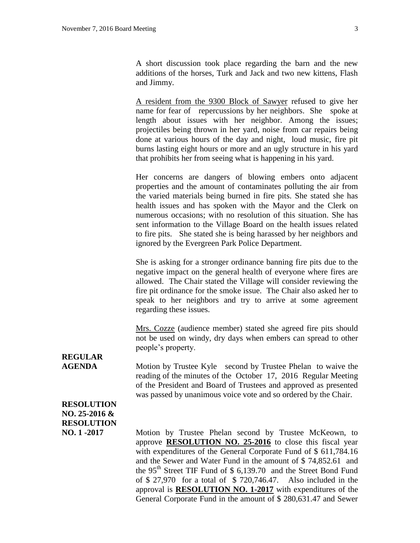A short discussion took place regarding the barn and the new additions of the horses, Turk and Jack and two new kittens, Flash and Jimmy.

A resident from the 9300 Block of Sawyer refused to give her name for fear of repercussions by her neighbors. She spoke at length about issues with her neighbor. Among the issues; projectiles being thrown in her yard, noise from car repairs being done at various hours of the day and night, loud music, fire pit burns lasting eight hours or more and an ugly structure in his yard that prohibits her from seeing what is happening in his yard.

Her concerns are dangers of blowing embers onto adjacent properties and the amount of contaminates polluting the air from the varied materials being burned in fire pits. She stated she has health issues and has spoken with the Mayor and the Clerk on numerous occasions; with no resolution of this situation. She has sent information to the Village Board on the health issues related to fire pits. She stated she is being harassed by her neighbors and ignored by the Evergreen Park Police Department.

She is asking for a stronger ordinance banning fire pits due to the negative impact on the general health of everyone where fires are allowed. The Chair stated the Village will consider reviewing the fire pit ordinance for the smoke issue. The Chair also asked her to speak to her neighbors and try to arrive at some agreement regarding these issues.

Mrs. Cozze (audience member) stated she agreed fire pits should not be used on windy, dry days when embers can spread to other people's property.

# **REGULAR**

**AGENDA** Motion by Trustee Kyle second by Trustee Phelan to waive the reading of the minutes of the October 17, 2016 Regular Meeting of the President and Board of Trustees and approved as presented was passed by unanimous voice vote and so ordered by the Chair.

#### **RESOLUTION NO. 25-2016 & RESOLUTION**

**NO. 1 -2017** Motion by Trustee Phelan second by Trustee McKeown, to approve **RESOLUTION NO. 25-2016** to close this fiscal year with expenditures of the General Corporate Fund of \$ 611,784.16 and the Sewer and Water Fund in the amount of \$ 74,852.61 and the 95<sup>th</sup> Street TIF Fund of \$ 6,139.70 and the Street Bond Fund of \$ 27,970 for a total of \$ 720,746.47. Also included in the approval is **RESOLUTION NO. 1-2017** with expenditures of the General Corporate Fund in the amount of \$ 280,631.47 and Sewer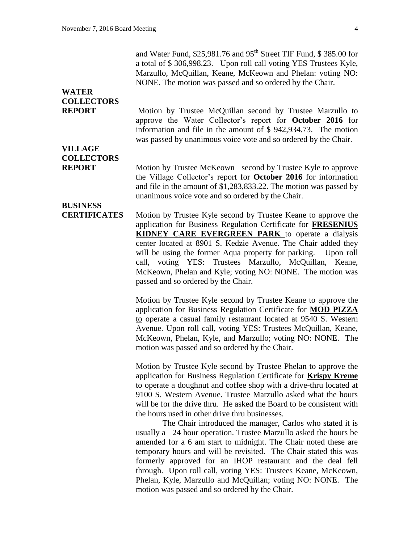and Water Fund,  $$25,981.76$  and  $95<sup>th</sup>$  Street TIF Fund,  $$385.00$  for a total of \$ 306,998.23. Upon roll call voting YES Trustees Kyle, Marzullo, McQuillan, Keane, McKeown and Phelan: voting NO: NONE. The motion was passed and so ordered by the Chair.

### **WATER COLLECTORS**

**REPORT** Motion by Trustee McQuillan second by Trustee Marzullo to approve the Water Collector's report for **October 2016** for information and file in the amount of \$ 942,934.73. The motion was passed by unanimous voice vote and so ordered by the Chair.

### **VILLAGE COLLECTORS**

**REPORT** Motion by Trustee McKeown second by Trustee Kyle to approve the Village Collector's report for **October 2016** for information and file in the amount of \$1,283,833.22. The motion was passed by unanimous voice vote and so ordered by the Chair.

### **BUSINESS**

**CERTIFICATES** Motion by Trustee Kyle second by Trustee Keane to approve the application for Business Regulation Certificate for **FRESENIUS KIDNEY CARE EVERGREEN PARK** to operate a dialysis center located at 8901 S. Kedzie Avenue. The Chair added they will be using the former Aqua property for parking. Upon roll call, voting YES: Trustees Marzullo, McQuillan, Keane, McKeown, Phelan and Kyle; voting NO: NONE. The motion was passed and so ordered by the Chair.

> Motion by Trustee Kyle second by Trustee Keane to approve the application for Business Regulation Certificate for **MOD PIZZA** to operate a casual family restaurant located at 9540 S. Western Avenue. Upon roll call, voting YES: Trustees McQuillan, Keane, McKeown, Phelan, Kyle, and Marzullo; voting NO: NONE. The motion was passed and so ordered by the Chair.

> Motion by Trustee Kyle second by Trustee Phelan to approve the application for Business Regulation Certificate for **Krispy Kreme** to operate a doughnut and coffee shop with a drive-thru located at 9100 S. Western Avenue. Trustee Marzullo asked what the hours will be for the drive thru. He asked the Board to be consistent with the hours used in other drive thru businesses.

> The Chair introduced the manager, Carlos who stated it is usually a 24 hour operation. Trustee Marzullo asked the hours be amended for a 6 am start to midnight. The Chair noted these are temporary hours and will be revisited. The Chair stated this was formerly approved for an IHOP restaurant and the deal fell through. Upon roll call, voting YES: Trustees Keane, McKeown, Phelan, Kyle, Marzullo and McQuillan; voting NO: NONE. The motion was passed and so ordered by the Chair.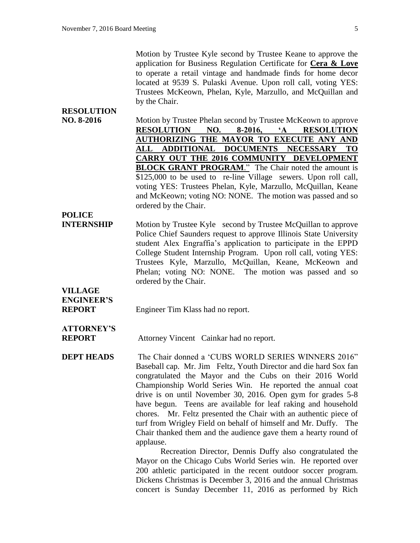Motion by Trustee Kyle second by Trustee Keane to approve the application for Business Regulation Certificate for **Cera & Love** to operate a retail vintage and handmade finds for home decor located at 9539 S. Pulaski Avenue. Upon roll call, voting YES: Trustees McKeown, Phelan, Kyle, Marzullo, and McQuillan and by the Chair.

**NO. 8-2016** Motion by Trustee Phelan second by Trustee McKeown to approve **RESOLUTION NO. 8-2016, 'A RESOLUTION AUTHORIZING THE MAYOR TO EXECUTE ANY AND ALL ADDITIONAL DOCUMENTS NECESSARY TO CARRY OUT THE 2016 COMMUNITY DEVELOPMENT BLOCK GRANT PROGRAM.**" The Chair noted the amount is \$125,000 to be used to re-line Village sewers. Upon roll call, voting YES: Trustees Phelan, Kyle, Marzullo, McQuillan, Keane and McKeown; voting NO: NONE. The motion was passed and so ordered by the Chair.

#### **POLICE**

**RESOLUTION**

**INTERNSHIP** Motion by Trustee Kyle second by Trustee McQuillan to approve Police Chief Saunders request to approve Illinois State University student Alex Engraffia's application to participate in the EPPD College Student Internship Program. Upon roll call, voting YES: Trustees Kyle, Marzullo, McQuillan, Keane, McKeown and Phelan; voting NO: NONE. The motion was passed and so ordered by the Chair.

### **VILLAGE ENGINEER'S**

**REPORT** Engineer Tim Klass had no report.

#### **ATTORNEY'S REPORT** Attorney Vincent Cainkar had no report.

**DEPT HEADS** The Chair donned a 'CUBS WORLD SERIES WINNERS 2016" Baseball cap. Mr. Jim Feltz, Youth Director and die hard Sox fan congratulated the Mayor and the Cubs on their 2016 World Championship World Series Win. He reported the annual coat drive is on until November 30, 2016. Open gym for grades 5-8 have begun. Teens are available for leaf raking and household chores. Mr. Feltz presented the Chair with an authentic piece of turf from Wrigley Field on behalf of himself and Mr. Duffy. The Chair thanked them and the audience gave them a hearty round of applause.

> Recreation Director, Dennis Duffy also congratulated the Mayor on the Chicago Cubs World Series win. He reported over 200 athletic participated in the recent outdoor soccer program. Dickens Christmas is December 3, 2016 and the annual Christmas concert is Sunday December 11, 2016 as performed by Rich